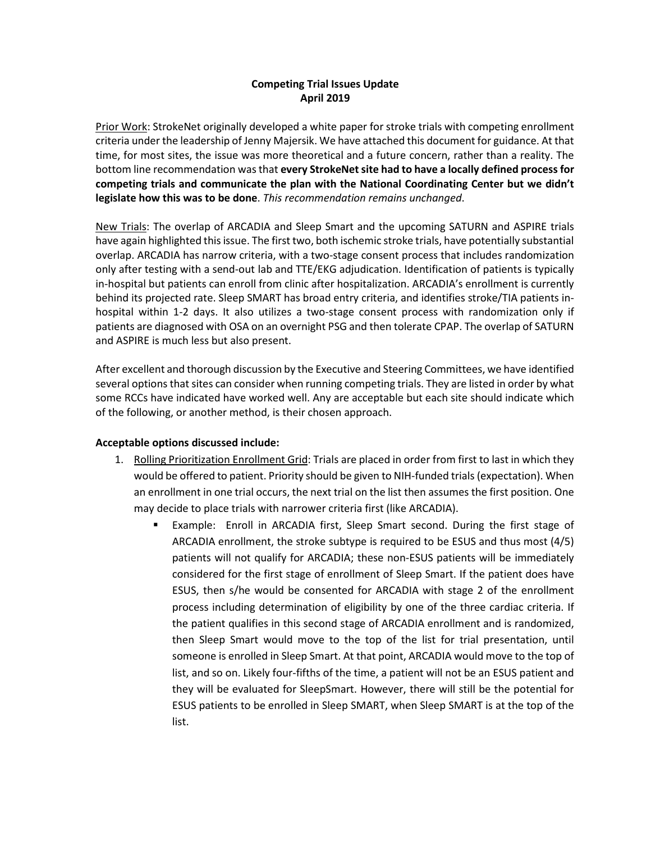## **Competing Trial Issues Update April 2019**

Prior Work: StrokeNet originally developed a white paper for stroke trials with competing enrollment criteria under the leadership of Jenny Majersik. We have attached this document for guidance. At that time, for most sites, the issue was more theoretical and a future concern, rather than a reality. The bottom line recommendation was that **every StrokeNet site had to have a locally defined process for competing trials and communicate the plan with the National Coordinating Center but we didn't legislate how this was to be done**. *This recommendation remains unchanged*.

New Trials: The overlap of ARCADIA and Sleep Smart and the upcoming SATURN and ASPIRE trials have again highlighted this issue. The first two, both ischemic stroke trials, have potentially substantial overlap. ARCADIA has narrow criteria, with a two-stage consent process that includes randomization only after testing with a send-out lab and TTE/EKG adjudication. Identification of patients is typically in-hospital but patients can enroll from clinic after hospitalization. ARCADIA's enrollment is currently behind its projected rate. Sleep SMART has broad entry criteria, and identifies stroke/TIA patients inhospital within 1-2 days. It also utilizes a two-stage consent process with randomization only if patients are diagnosed with OSA on an overnight PSG and then tolerate CPAP. The overlap of SATURN and ASPIRE is much less but also present.

After excellent and thorough discussion by the Executive and Steering Committees, we have identified several options that sites can consider when running competing trials. They are listed in order by what some RCCs have indicated have worked well. Any are acceptable but each site should indicate which of the following, or another method, is their chosen approach.

## **Acceptable options discussed include:**

- 1. Rolling Prioritization Enrollment Grid: Trials are placed in order from first to last in which they would be offered to patient. Priority should be given to NIH-funded trials (expectation). When an enrollment in one trial occurs, the next trial on the list then assumes the first position. One may decide to place trials with narrower criteria first (like ARCADIA).
	- Example: Enroll in ARCADIA first, Sleep Smart second. During the first stage of ARCADIA enrollment, the stroke subtype is required to be ESUS and thus most (4/5) patients will not qualify for ARCADIA; these non-ESUS patients will be immediately considered for the first stage of enrollment of Sleep Smart. If the patient does have ESUS, then s/he would be consented for ARCADIA with stage 2 of the enrollment process including determination of eligibility by one of the three cardiac criteria. If the patient qualifies in this second stage of ARCADIA enrollment and is randomized, then Sleep Smart would move to the top of the list for trial presentation, until someone is enrolled in Sleep Smart. At that point, ARCADIA would move to the top of list, and so on. Likely four-fifths of the time, a patient will not be an ESUS patient and they will be evaluated for SleepSmart. However, there will still be the potential for ESUS patients to be enrolled in Sleep SMART, when Sleep SMART is at the top of the list.